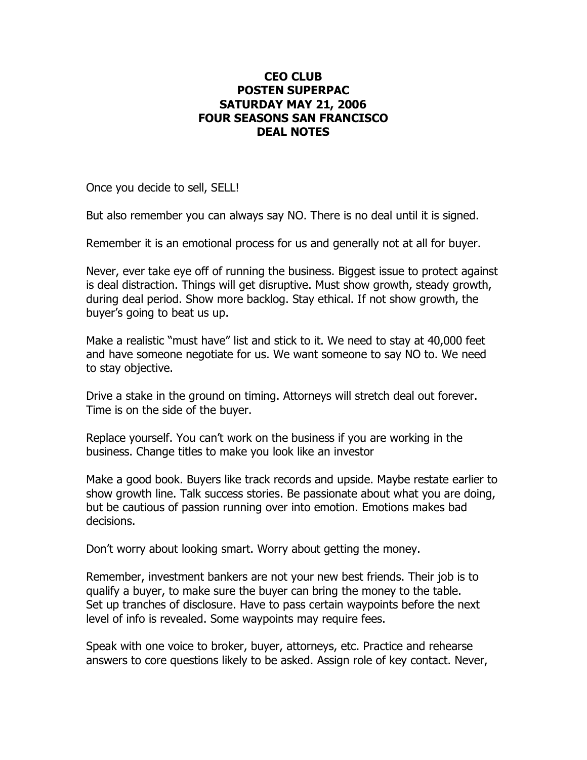## **CEO CLUB POSTEN SUPERPAC SATURDAY MAY 21, 2006 FOUR SEASONS SAN FRANCISCO DEAL NOTES**

Once you decide to sell, SELL!

But also remember you can always say NO. There is no deal until it is signed.

Remember it is an emotional process for us and generally not at all for buyer.

Never, ever take eye off of running the business. Biggest issue to protect against is deal distraction. Things will get disruptive. Must show growth, steady growth, during deal period. Show more backlog. Stay ethical. If not show growth, the buyer's going to beat us up.

Make a realistic "must have" list and stick to it. We need to stay at 40,000 feet and have someone negotiate for us. We want someone to say NO to. We need to stay objective.

Drive a stake in the ground on timing. Attorneys will stretch deal out forever. Time is on the side of the buyer.

Replace yourself. You can't work on the business if you are working in the business. Change titles to make you look like an investor

Make a good book. Buyers like track records and upside. Maybe restate earlier to show growth line. Talk success stories. Be passionate about what you are doing, but be cautious of passion running over into emotion. Emotions makes bad decisions.

Don't worry about looking smart. Worry about getting the money.

Remember, investment bankers are not your new best friends. Their job is to qualify a buyer, to make sure the buyer can bring the money to the table. Set up tranches of disclosure. Have to pass certain waypoints before the next level of info is revealed. Some waypoints may require fees.

Speak with one voice to broker, buyer, attorneys, etc. Practice and rehearse answers to core questions likely to be asked. Assign role of key contact. Never,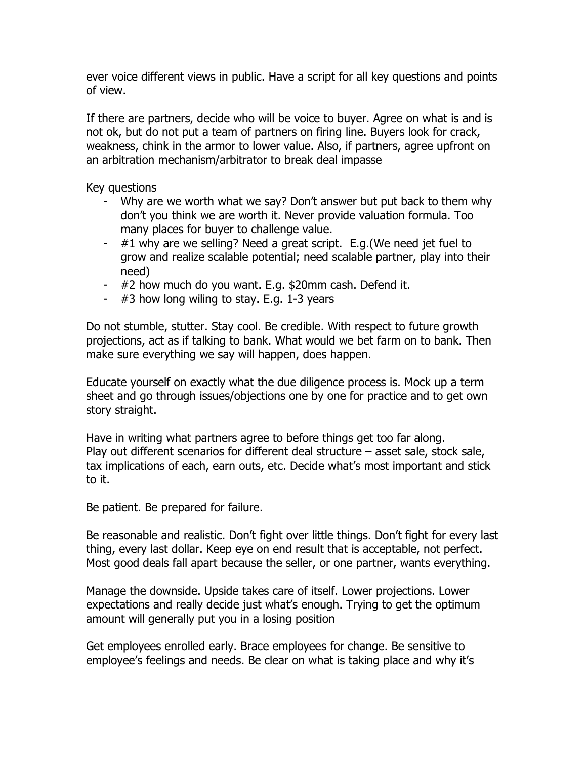ever voice different views in public. Have a script for all key questions and points of view.

If there are partners, decide who will be voice to buyer. Agree on what is and is not ok, but do not put a team of partners on firing line. Buyers look for crack, weakness, chink in the armor to lower value. Also, if partners, agree upfront on an arbitration mechanism/arbitrator to break deal impasse

Key questions

- Why are we worth what we say? Don't answer but put back to them why don't you think we are worth it. Never provide valuation formula. Too many places for buyer to challenge value.
- $-$  #1 why are we selling? Need a great script. E.g. (We need jet fuel to grow and realize scalable potential; need scalable partner, play into their need)
- #2 how much do you want. E.g. \$20mm cash. Defend it.
- $-$  #3 how long wiling to stay. E.g. 1-3 years

Do not stumble, stutter. Stay cool. Be credible. With respect to future growth projections, act as if talking to bank. What would we bet farm on to bank. Then make sure everything we say will happen, does happen.

Educate yourself on exactly what the due diligence process is. Mock up a term sheet and go through issues/objections one by one for practice and to get own story straight.

Have in writing what partners agree to before things get too far along. Play out different scenarios for different deal structure – asset sale, stock sale, tax implications of each, earn outs, etc. Decide what's most important and stick to it.

Be patient. Be prepared for failure.

Be reasonable and realistic. Don't fight over little things. Don't fight for every last thing, every last dollar. Keep eye on end result that is acceptable, not perfect. Most good deals fall apart because the seller, or one partner, wants everything.

Manage the downside. Upside takes care of itself. Lower projections. Lower expectations and really decide just what's enough. Trying to get the optimum amount will generally put you in a losing position

Get employees enrolled early. Brace employees for change. Be sensitive to employee's feelings and needs. Be clear on what is taking place and why it's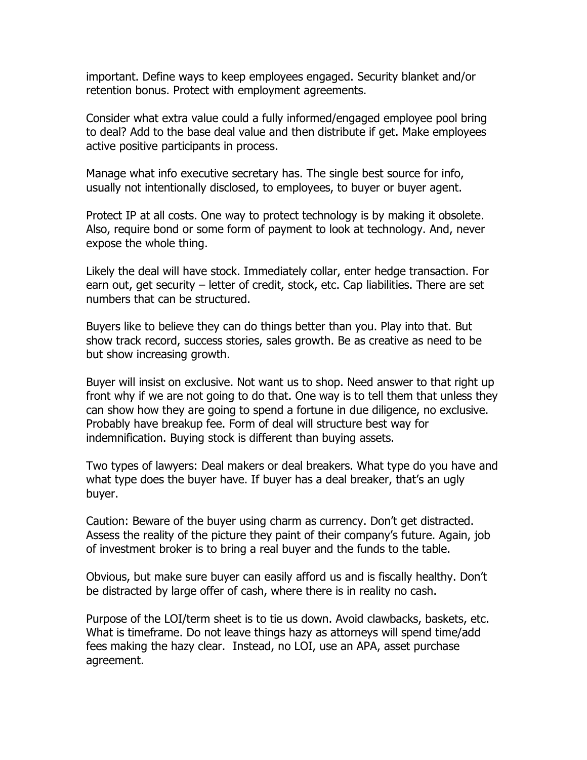important. Define ways to keep employees engaged. Security blanket and/or retention bonus. Protect with employment agreements.

Consider what extra value could a fully informed/engaged employee pool bring to deal? Add to the base deal value and then distribute if get. Make employees active positive participants in process.

Manage what info executive secretary has. The single best source for info, usually not intentionally disclosed, to employees, to buyer or buyer agent.

Protect IP at all costs. One way to protect technology is by making it obsolete. Also, require bond or some form of payment to look at technology. And, never expose the whole thing.

Likely the deal will have stock. Immediately collar, enter hedge transaction. For earn out, get security – letter of credit, stock, etc. Cap liabilities. There are set numbers that can be structured.

Buyers like to believe they can do things better than you. Play into that. But show track record, success stories, sales growth. Be as creative as need to be but show increasing growth.

Buyer will insist on exclusive. Not want us to shop. Need answer to that right up front why if we are not going to do that. One way is to tell them that unless they can show how they are going to spend a fortune in due diligence, no exclusive. Probably have breakup fee. Form of deal will structure best way for indemnification. Buying stock is different than buying assets.

Two types of lawyers: Deal makers or deal breakers. What type do you have and what type does the buyer have. If buyer has a deal breaker, that's an ugly buyer.

Caution: Beware of the buyer using charm as currency. Don't get distracted. Assess the reality of the picture they paint of their company's future. Again, job of investment broker is to bring a real buyer and the funds to the table.

Obvious, but make sure buyer can easily afford us and is fiscally healthy. Don't be distracted by large offer of cash, where there is in reality no cash.

Purpose of the LOI/term sheet is to tie us down. Avoid clawbacks, baskets, etc. What is timeframe. Do not leave things hazy as attorneys will spend time/add fees making the hazy clear. Instead, no LOI, use an APA, asset purchase agreement.